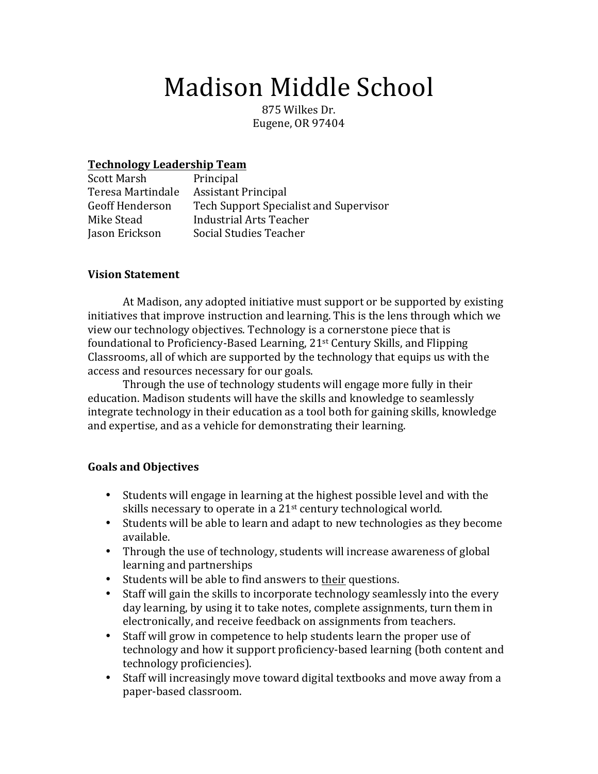# Madison Middle School

875 Wilkes Dr. Eugene, OR 97404

### **Technology Leadership Team**

| Principal                              |
|----------------------------------------|
| <b>Assistant Principal</b>             |
| Tech Support Specialist and Supervisor |
| Industrial Arts Teacher                |
| Social Studies Teacher                 |
|                                        |

#### **Vision Statement**

At Madison, any adopted initiative must support or be supported by existing initiatives that improve instruction and learning. This is the lens through which we view our technology objectives. Technology is a cornerstone piece that is foundational to Proficiency-Based Learning,  $21<sup>st</sup>$  Century Skills, and Flipping Classrooms, all of which are supported by the technology that equips us with the access and resources necessary for our goals.

Through the use of technology students will engage more fully in their education. Madison students will have the skills and knowledge to seamlessly integrate technology in their education as a tool both for gaining skills, knowledge and expertise, and as a vehicle for demonstrating their learning.

#### **Goals and Objectives**

- Students will engage in learning at the highest possible level and with the skills necessary to operate in a  $21<sup>st</sup>$  century technological world.
- Students will be able to learn and adapt to new technologies as they become available.
- Through the use of technology, students will increase awareness of global learning and partnerships
- Students will be able to find answers to their questions.
- Staff will gain the skills to incorporate technology seamlessly into the every day learning, by using it to take notes, complete assignments, turn them in electronically, and receive feedback on assignments from teachers.
- Staff will grow in competence to help students learn the proper use of technology and how it support proficiency-based learning (both content and technology proficiencies).
- Staff will increasingly move toward digital textbooks and move away from a paper-based classroom.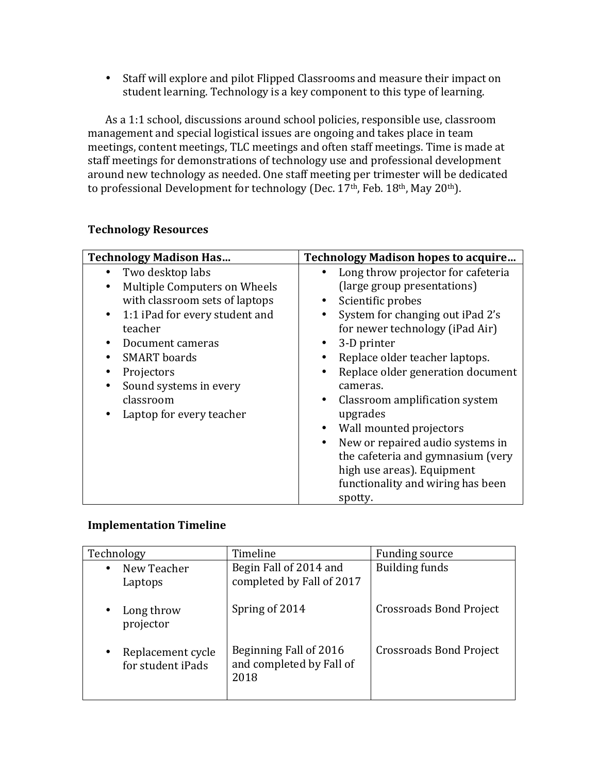• Staff will explore and pilot Flipped Classrooms and measure their impact on student learning. Technology is a key component to this type of learning.

As a 1:1 school, discussions around school policies, responsible use, classroom management and special logistical issues are ongoing and takes place in team meetings, content meetings, TLC meetings and often staff meetings. Time is made at staff meetings for demonstrations of technology use and professional development around new technology as needed. One staff meeting per trimester will be dedicated to professional Development for technology (Dec.  $17<sup>th</sup>$ , Feb.  $18<sup>th</sup>$ , May  $20<sup>th</sup>$ ).

| <b>Technology Madison Has</b>                                                                                                                                                                                                                                                                                                     | <b>Technology Madison hopes to acquire</b>                                                                                                                                                                                                                                                                                                                                                                                                                                                                                                          |
|-----------------------------------------------------------------------------------------------------------------------------------------------------------------------------------------------------------------------------------------------------------------------------------------------------------------------------------|-----------------------------------------------------------------------------------------------------------------------------------------------------------------------------------------------------------------------------------------------------------------------------------------------------------------------------------------------------------------------------------------------------------------------------------------------------------------------------------------------------------------------------------------------------|
| Two desktop labs<br>$\bullet$<br>Multiple Computers on Wheels<br>$\bullet$<br>with classroom sets of laptops<br>1:1 iPad for every student and<br>$\bullet$<br>teacher<br>Document cameras<br><b>SMART</b> boards<br>٠<br>Projectors<br>Sound systems in every<br>$\bullet$<br>classroom<br>Laptop for every teacher<br>$\bullet$ | Long throw projector for cafeteria<br>(large group presentations)<br>Scientific probes<br>System for changing out iPad 2's<br>for newer technology (iPad Air)<br>3-D printer<br>Replace older teacher laptops.<br>$\bullet$<br>Replace older generation document<br>cameras.<br>Classroom amplification system<br>$\bullet$<br>upgrades<br>Wall mounted projectors<br>$\bullet$<br>New or repaired audio systems in<br>$\bullet$<br>the cafeteria and gymnasium (very<br>high use areas). Equipment<br>functionality and wiring has been<br>spotty. |

## **Technology Resources**

#### **Implementation Timeline**

| Technology                                          | Timeline                                                   | Funding source                 |
|-----------------------------------------------------|------------------------------------------------------------|--------------------------------|
| New Teacher<br>$\bullet$<br>Laptops                 | Begin Fall of 2014 and<br>completed by Fall of 2017        | <b>Building funds</b>          |
| Long throw<br>$\bullet$<br>projector                | Spring of 2014                                             | <b>Crossroads Bond Project</b> |
| Replacement cycle<br>$\bullet$<br>for student iPads | Beginning Fall of 2016<br>and completed by Fall of<br>2018 | <b>Crossroads Bond Project</b> |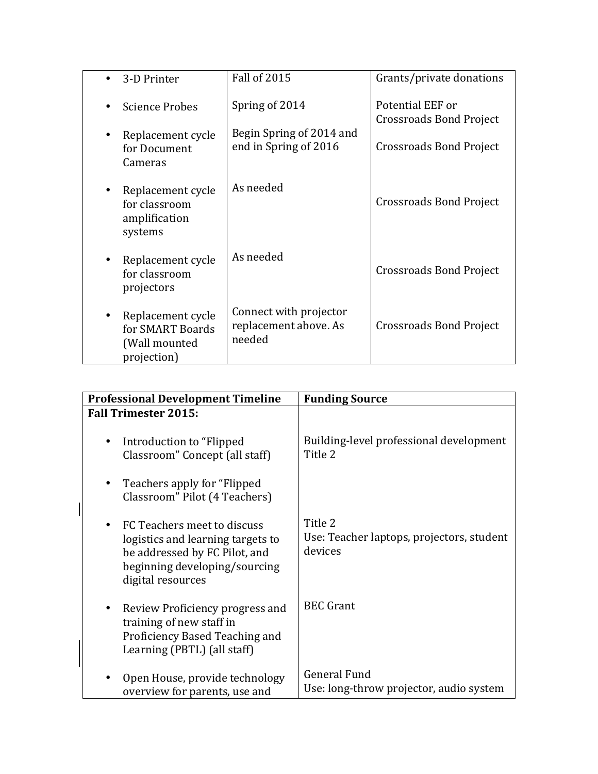| 3-D Printer                                                           | <b>Fall of 2015</b>                                       | Grants/private donations                    |
|-----------------------------------------------------------------------|-----------------------------------------------------------|---------------------------------------------|
| <b>Science Probes</b>                                                 | Spring of 2014                                            | Potential EEF or<br>Crossroads Bond Project |
| Replacement cycle<br>for Document<br>Cameras                          | Begin Spring of 2014 and<br>end in Spring of 2016         | Crossroads Bond Project                     |
| Replacement cycle<br>for classroom<br>amplification<br>systems        | As needed                                                 | Crossroads Bond Project                     |
| Replacement cycle<br>for classroom<br>projectors                      | As needed                                                 | Crossroads Bond Project                     |
| Replacement cycle<br>for SMART Boards<br>(Wall mounted<br>projection) | Connect with projector<br>replacement above. As<br>needed | <b>Crossroads Bond Project</b>              |

| <b>Professional Development Timeline</b>                                                                                                                     | <b>Funding Source</b>                                           |
|--------------------------------------------------------------------------------------------------------------------------------------------------------------|-----------------------------------------------------------------|
| <b>Fall Trimester 2015:</b>                                                                                                                                  |                                                                 |
| Introduction to "Flipped"<br>٠<br>Classroom" Concept (all staff)                                                                                             | Building-level professional development<br>Title 2              |
| Teachers apply for "Flipped"<br>٠<br>Classroom" Pilot (4 Teachers)                                                                                           |                                                                 |
| FC Teachers meet to discuss<br>٠<br>logistics and learning targets to<br>be addressed by FC Pilot, and<br>beginning developing/sourcing<br>digital resources | Title 2<br>Use: Teacher laptops, projectors, student<br>devices |
| Review Proficiency progress and<br>٠<br>training of new staff in<br>Proficiency Based Teaching and<br>Learning (PBTL) (all staff)                            | <b>BEC</b> Grant                                                |
| Open House, provide technology<br>overview for parents, use and                                                                                              | General Fund<br>Use: long-throw projector, audio system         |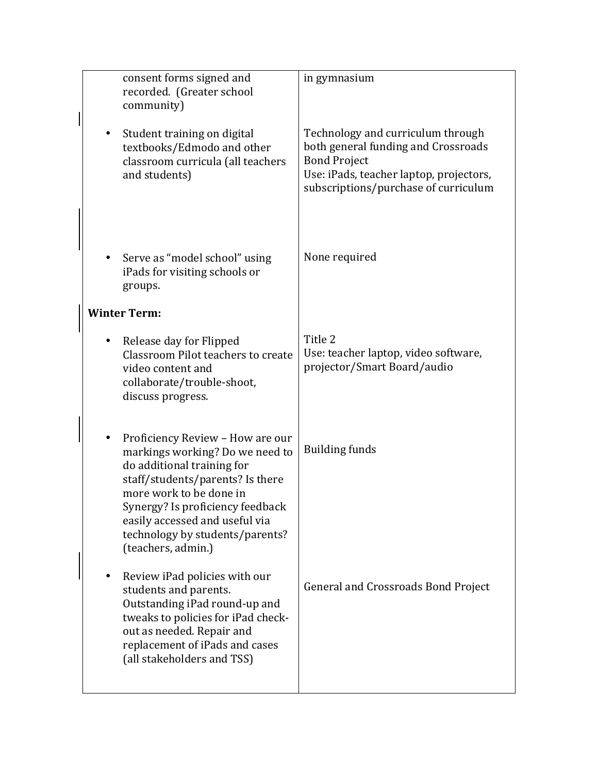|                     | consent forms signed and<br>recorded. (Greater school<br>community)                                                                                                                                                                                                                             | in gymnasium                                                                                                                                                                       |
|---------------------|-------------------------------------------------------------------------------------------------------------------------------------------------------------------------------------------------------------------------------------------------------------------------------------------------|------------------------------------------------------------------------------------------------------------------------------------------------------------------------------------|
|                     | Student training on digital<br>textbooks/Edmodo and other<br>classroom curricula (all teachers<br>and students)                                                                                                                                                                                 | Technology and curriculum through<br>both general funding and Crossroads<br><b>Bond Project</b><br>Use: iPads, teacher laptop, projectors,<br>subscriptions/purchase of curriculum |
| groups.             | Serve as "model school" using<br>iPads for visiting schools or                                                                                                                                                                                                                                  | None required                                                                                                                                                                      |
| <b>Winter Term:</b> |                                                                                                                                                                                                                                                                                                 |                                                                                                                                                                                    |
|                     | Release day for Flipped<br>Classroom Pilot teachers to create<br>video content and<br>collaborate/trouble-shoot,<br>discuss progress.                                                                                                                                                           | Title 2<br>Use: teacher laptop, video software,<br>projector/Smart Board/audio                                                                                                     |
|                     | Proficiency Review - How are our<br>markings working? Do we need to<br>do additional training for<br>staff/students/parents? Is there<br>more work to be done in<br>Synergy? Is proficiency feedback<br>easily accessed and useful via<br>technology by students/parents?<br>(teachers, admin.) | <b>Building funds</b>                                                                                                                                                              |
|                     | Review iPad policies with our<br>students and parents.<br>Outstanding iPad round-up and<br>tweaks to policies for iPad check-<br>out as needed. Repair and<br>replacement of iPads and cases<br>(all stakeholders and TSS)                                                                      | <b>General and Crossroads Bond Project</b>                                                                                                                                         |